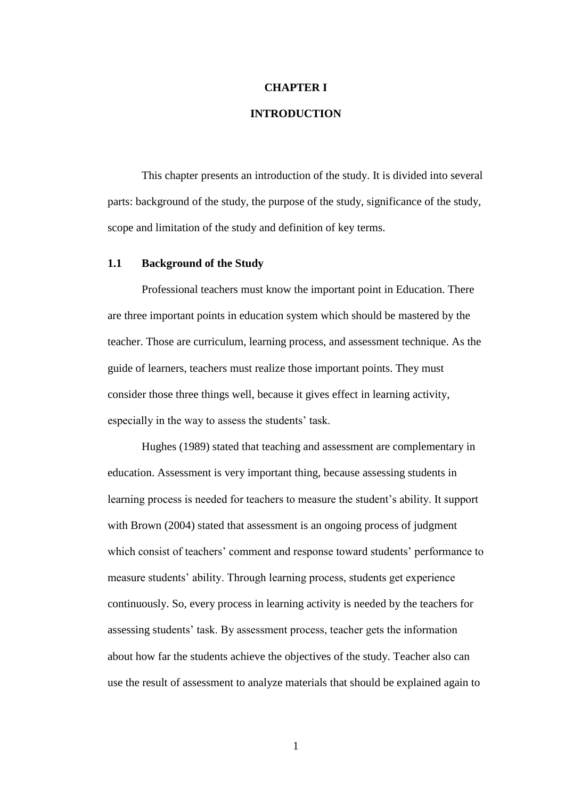# **CHAPTER I**

# **INTRODUCTION**

This chapter presents an introduction of the study. It is divided into several parts: background of the study, the purpose of the study, significance of the study, scope and limitation of the study and definition of key terms.

#### **1.1 Background of the Study**

Professional teachers must know the important point in Education. There are three important points in education system which should be mastered by the teacher. Those are curriculum, learning process, and assessment technique. As the guide of learners, teachers must realize those important points. They must consider those three things well, because it gives effect in learning activity, especially in the way to assess the students' task.

Hughes (1989) stated that teaching and assessment are complementary in education. Assessment is very important thing, because assessing students in learning process is needed for teachers to measure the student's ability. It support with Brown (2004) stated that assessment is an ongoing process of judgment which consist of teachers' comment and response toward students' performance to measure students' ability. Through learning process, students get experience continuously. So, every process in learning activity is needed by the teachers for assessing students' task. By assessment process, teacher gets the information about how far the students achieve the objectives of the study. Teacher also can use the result of assessment to analyze materials that should be explained again to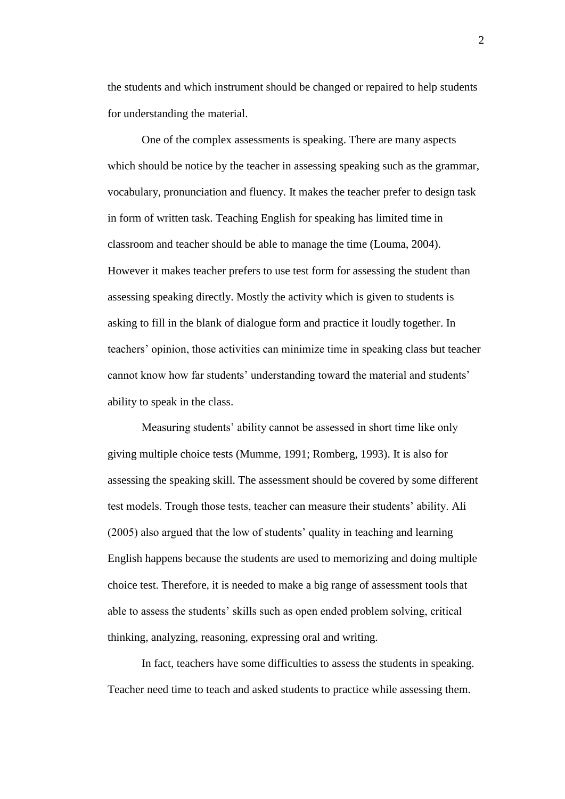the students and which instrument should be changed or repaired to help students for understanding the material.

One of the complex assessments is speaking. There are many aspects which should be notice by the teacher in assessing speaking such as the grammar, vocabulary, pronunciation and fluency. It makes the teacher prefer to design task in form of written task. Teaching English for speaking has limited time in classroom and teacher should be able to manage the time (Louma, 2004). However it makes teacher prefers to use test form for assessing the student than assessing speaking directly. Mostly the activity which is given to students is asking to fill in the blank of dialogue form and practice it loudly together. In teachers' opinion, those activities can minimize time in speaking class but teacher cannot know how far students' understanding toward the material and students' ability to speak in the class.

Measuring students' ability cannot be assessed in short time like only giving multiple choice tests (Mumme, 1991; Romberg, 1993). It is also for assessing the speaking skill. The assessment should be covered by some different test models. Trough those tests, teacher can measure their students' ability. Ali (2005) also argued that the low of students' quality in teaching and learning English happens because the students are used to memorizing and doing multiple choice test. Therefore, it is needed to make a big range of assessment tools that able to assess the students' skills such as open ended problem solving, critical thinking, analyzing, reasoning, expressing oral and writing.

In fact, teachers have some difficulties to assess the students in speaking. Teacher need time to teach and asked students to practice while assessing them.

2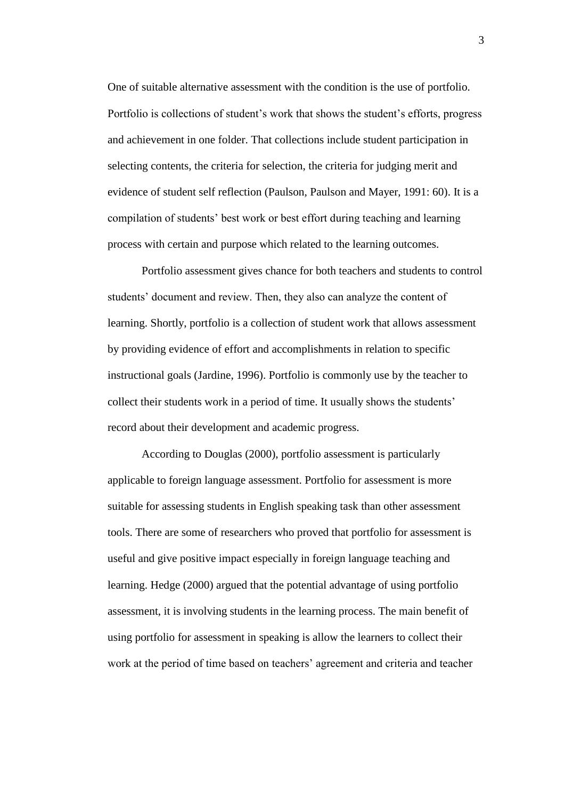One of suitable alternative assessment with the condition is the use of portfolio. Portfolio is collections of student's work that shows the student's efforts, progress and achievement in one folder. That collections include student participation in selecting contents, the criteria for selection, the criteria for judging merit and evidence of student self reflection (Paulson, Paulson and Mayer, 1991: 60). It is a compilation of students' best work or best effort during teaching and learning process with certain and purpose which related to the learning outcomes.

Portfolio assessment gives chance for both teachers and students to control students' document and review. Then, they also can analyze the content of learning. Shortly, portfolio is a collection of student work that allows assessment by providing evidence of effort and accomplishments in relation to specific instructional goals (Jardine, 1996). Portfolio is commonly use by the teacher to collect their students work in a period of time. It usually shows the students' record about their development and academic progress.

According to Douglas (2000), portfolio assessment is particularly applicable to foreign language assessment. Portfolio for assessment is more suitable for assessing students in English speaking task than other assessment tools. There are some of researchers who proved that portfolio for assessment is useful and give positive impact especially in foreign language teaching and learning. Hedge (2000) argued that the potential advantage of using portfolio assessment, it is involving students in the learning process. The main benefit of using portfolio for assessment in speaking is allow the learners to collect their work at the period of time based on teachers' agreement and criteria and teacher

3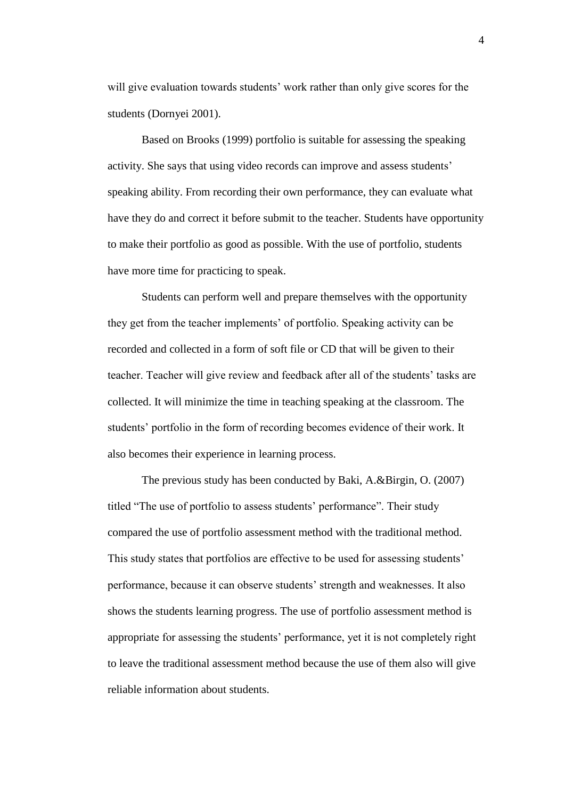will give evaluation towards students' work rather than only give scores for the students (Dornyei 2001).

Based on Brooks (1999) portfolio is suitable for assessing the speaking activity. She says that using video records can improve and assess students' speaking ability. From recording their own performance, they can evaluate what have they do and correct it before submit to the teacher. Students have opportunity to make their portfolio as good as possible. With the use of portfolio, students have more time for practicing to speak.

Students can perform well and prepare themselves with the opportunity they get from the teacher implements' of portfolio. Speaking activity can be recorded and collected in a form of soft file or CD that will be given to their teacher. Teacher will give review and feedback after all of the students' tasks are collected. It will minimize the time in teaching speaking at the classroom. The students' portfolio in the form of recording becomes evidence of their work. It also becomes their experience in learning process.

The previous study has been conducted by Baki, A.&Birgin, O. (2007) titled "The use of portfolio to assess students' performance". Their study compared the use of portfolio assessment method with the traditional method. This study states that portfolios are effective to be used for assessing students' performance, because it can observe students' strength and weaknesses. It also shows the students learning progress. The use of portfolio assessment method is appropriate for assessing the students' performance, yet it is not completely right to leave the traditional assessment method because the use of them also will give reliable information about students.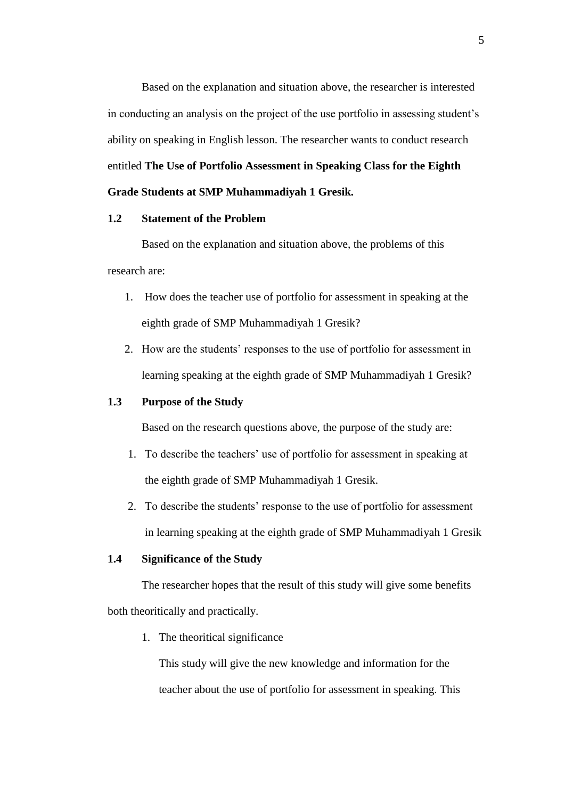Based on the explanation and situation above, the researcher is interested in conducting an analysis on the project of the use portfolio in assessing student's ability on speaking in English lesson. The researcher wants to conduct research entitled **The Use of Portfolio Assessment in Speaking Class for the Eighth Grade Students at SMP Muhammadiyah 1 Gresik***.*

#### **1.2 Statement of the Problem**

Based on the explanation and situation above, the problems of this research are:

- 1. How does the teacher use of portfolio for assessment in speaking at the eighth grade of SMP Muhammadiyah 1 Gresik?
- 2. How are the students' responses to the use of portfolio for assessment in learning speaking at the eighth grade of SMP Muhammadiyah 1 Gresik?

## **1.3 Purpose of the Study**

Based on the research questions above, the purpose of the study are:

- 1. To describe the teachers' use of portfolio for assessment in speaking at the eighth grade of SMP Muhammadiyah 1 Gresik.
- 2. To describe the students' response to the use of portfolio for assessment in learning speaking at the eighth grade of SMP Muhammadiyah 1 Gresik

#### **1.4 Significance of the Study**

The researcher hopes that the result of this study will give some benefits both theoritically and practically.

1. The theoritical significance

This study will give the new knowledge and information for the teacher about the use of portfolio for assessment in speaking. This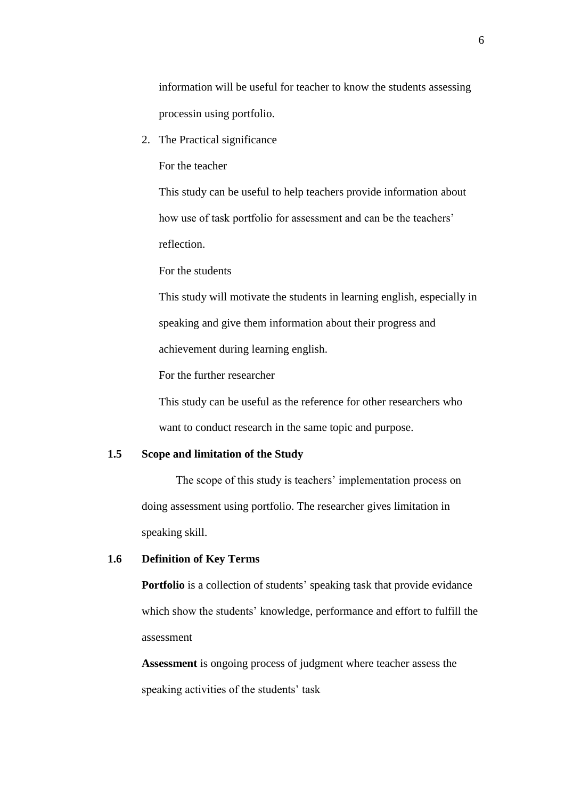information will be useful for teacher to know the students assessing processin using portfolio.

2. The Practical significance

For the teacher

This study can be useful to help teachers provide information about how use of task portfolio for assessment and can be the teachers' reflection.

For the students

This study will motivate the students in learning english, especially in speaking and give them information about their progress and achievement during learning english.

For the further researcher

This study can be useful as the reference for other researchers who want to conduct research in the same topic and purpose.

# **1.5 Scope and limitation of the Study**

The scope of this study is teachers' implementation process on doing assessment using portfolio. The researcher gives limitation in speaking skill.

## **1.6 Definition of Key Terms**

Portfolio is a collection of students' speaking task that provide evidance which show the students' knowledge, performance and effort to fulfill the assessment

**Assessment** is ongoing process of judgment where teacher assess the speaking activities of the students' task